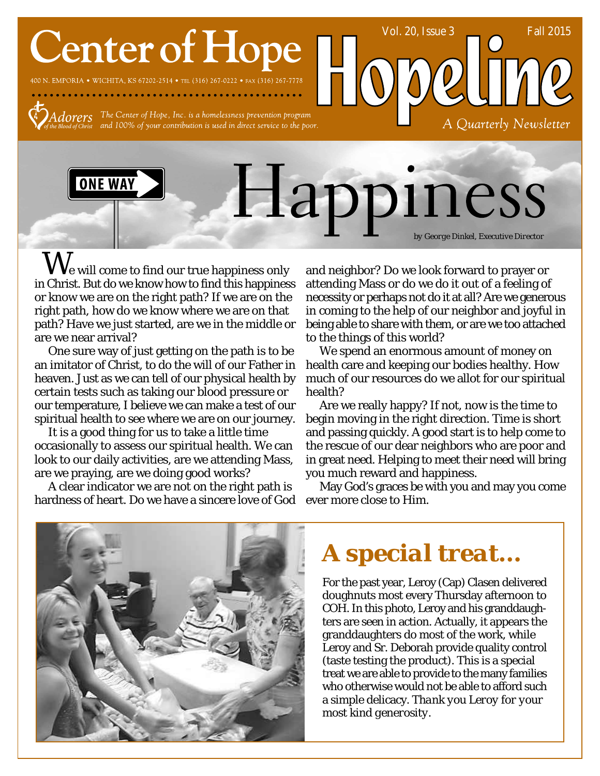# **Center of Hope**

400 N. EMPORIA • WICHITA, KS 67202-2514 • TEL (316) 267-0222 • FAX (316) 267-7778



dorers The Center of Hope, Inc. is a homelessness prevention program and 100% of your contribution is used in direct service to the poor.



 $\rm\bf W_{\rm e}$  will come to find our true happiness only in Christ. But do we know how to find this happiness or know we are on the right path? If we are on the right path, how do we know where we are on that path? Have we just started, are we in the middle or are we near arrival?

One sure way of just getting on the path is to be an imitator of Christ, to do the will of our Father in heaven. Just as we can tell of our physical health by certain tests such as taking our blood pressure or our temperature, I believe we can make a test of our spiritual health to see where we are on our journey.

It is a good thing for us to take a little time occasionally to assess our spiritual health. We can look to our daily activities, are we attending Mass, are we praying, are we doing good works?

A clear indicator we are not on the right path is hardness of heart. Do we have a sincere love of God

and neighbor? Do we look forward to prayer or attending Mass or do we do it out of a feeling of necessity or perhaps not do it at all? Are we generous in coming to the help of our neighbor and joyful in being able to share with them, or are we too attached to the things of this world?

Vol. 20, Issue 3 Fall 2015

A Quarterly Newsletter

We spend an enormous amount of money on health care and keeping our bodies healthy. How much of our resources do we allot for our spiritual health?

Are we really happy? If not, now is the time to begin moving in the right direction. Time is short and passing quickly. A good start is to help come to the rescue of our dear neighbors who are poor and in great need. Helping to meet their need will bring you much reward and happiness.

May God's graces be with you and may you come ever more close to Him.



*A special treat…*

For the past year, Leroy (Cap) Clasen delivered doughnuts most every Thursday afternoon to COH. In this photo, Leroy and his granddaughters are seen in action. Actually, it appears the granddaughters do most of the work, while Leroy and Sr. Deborah provide quality control (taste testing the product). This is a special treat we are able to provide to the many families who otherwise would not be able to afford such a simple delicacy. *Thank you Leroy for your most kind generosity.*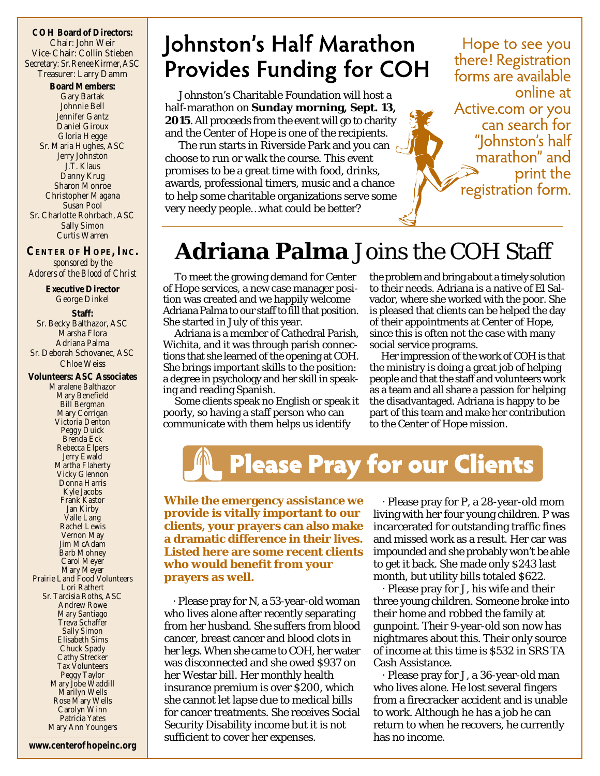**COH Board of Directors:** Chair: John Weir Vice-Chair: Collin Stieben Secretary: Sr. Renee Kirmer, ASC Treasurer: Larry Damm **Board Members:** Gary Bartak Johnnie Bell Jennifer Gantz Daniel Giroux Gloria Hegge Sr. Maria Hughes, ASC Jerry Johnston J.T. Klaus Danny Krug Sharon Monroe Christopher Magana Susan Pool Sr. Charlotte Rohrbach, ASC Sally Simon Curtis Warren

**CENTER OF HOPE, INC.** *sponsored by the Adorers of the Blood of Christ*

**Executive Director** George Dinkel **Staff:** Sr. Becky Balthazor, ASC Marsha Flora Adriana Palma Sr. Deborah Schovanec, ASC Chloe Weiss **Volunteers: ASC Associates** Maralene Balthazor Mary Benefield Bill Bergman Mary Corrigan Victoria Denton Peggy Duick Brenda Eck Rebecca Elpers Jerry Ewald Martha Flaherty Vicky Glennon Donna Harris Kyle Jacobs Frank Kastor Jan Kirby Valle Lang Rachel Lewis Vernon May Jim McAdam Barb Mohney Carol Meyer Mary Meyer Prairie Land Food Volunteers Lori Rathert Sr. Tarcisia Roths, ASC Andrew Rowe Mary Santiago Treva Schaffer Sally Simon Elisabeth Sims Chuck Spady Cathy Strecker Tax Volunteers Peggy Taylor Mary Jobe Waddill Marilyn Wells Rose Mary Wells

Carolyn Winn Patricia Yates

### Johnston's Half Marathon **Provides Funding for COH**

Johnston's Charitable Foundation will host a half-marathon on **Sunday morning, Sept. 13, 2015**. All proceeds from the event will go to charity and the Center of Hope is one of the recipients.

The run starts in Riverside Park and you can choose to run or walk the course. This event promises to be a great time with food, drinks, awards, professional timers, music and a chance to help some charitable organizations serve some very needy people…what could be better?

Hope to see you there! Registration forms are available online at Active.com or you can search for "Iohnston's half marathon" and print the registration form.

#### **Adriana Palma** Joins the COH Staff

To meet the growing demand for Center of Hope services, a new case manager position was created and we happily welcome Adriana Palma to our staff to fill that position. She started in July of this year.

Adriana is a member of Cathedral Parish, Wichita, and it was through parish connections that she learned of the opening at COH. She brings important skills to the position: a degree in psychology and her skill in speaking and reading Spanish.

Some clients speak no English or speak it poorly, so having a staff person who can communicate with them helps us identify

the problem and bring about a timely solution to their needs. Adriana is a native of El Salvador, where she worked with the poor. She is pleased that clients can be helped the day of their appointments at Center of Hope, since this is often not the case with many social service programs.

Her impression of the work of COH is that the ministry is doing a great job of helping people and that the staff and volunteers work as a team and all share a passion for helping the disadvantaged. Adriana is happy to be part of this team and make her contribution to the Center of Hope mission.



**While the emergency assistance we provide is vitally important to our clients, your prayers can also make a dramatic difference in their lives. Listed here are some recent clients who would benefit from your prayers as well.**

· Please pray for N, a 53-year-old woman who lives alone after recently separating from her husband. She suffers from blood cancer, breast cancer and blood clots in her legs. When she came to COH, her water was disconnected and she owed \$937 on her Westar bill. Her monthly health insurance premium is over \$200, which she cannot let lapse due to medical bills for cancer treatments. She receives Social Security Disability income but it is not sufficient to cover her expenses.

· Please pray for P, a 28-year-old mom living with her four young children. P was incarcerated for outstanding traffic fines and missed work as a result. Her car was impounded and she probably won't be able to get it back. She made only \$243 last month, but utility bills totaled \$622.

· Please pray for J, his wife and their three young children. Someone broke into their home and robbed the family at gunpoint. Their 9-year-old son now has nightmares about this. Their only source of income at this time is \$532 in SRS TA Cash Assistance.

· Please pray for J, a 36-year-old man who lives alone. He lost several fingers from a firecracker accident and is unable to work. Although he has a job he can return to when he recovers, he currently has no income.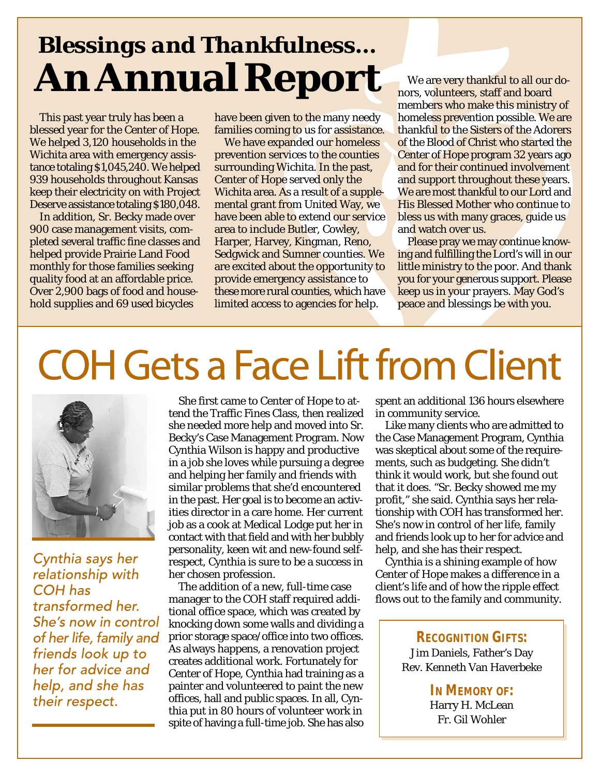### *Blessings and Thankfulness…* **An Annual Report**

This past year truly has been a blessed year for the Center of Hope. We helped 3,120 households in the Wichita area with emergency assistance totaling \$1,045,240. We helped 939 households throughout Kansas keep their electricity on with Project Deserve assistance totaling \$180,048.

In addition, Sr. Becky made over 900 case management visits, completed several traffic fine classes and helped provide Prairie Land Food monthly for those families seeking quality food at an affordable price. Over 2,900 bags of food and household supplies and 69 used bicycles

have been given to the many needy families coming to us for assistance.

We have expanded our homeless prevention services to the counties surrounding Wichita. In the past, Center of Hope served only the Wichita area. As a result of a supplemental grant from United Way, we have been able to extend our service area to include Butler, Cowley, Harper, Harvey, Kingman, Reno, Sedgwick and Sumner counties. We are excited about the opportunity to provide emergency assistance to these more rural counties, which have limited access to agencies for help.

We are very thankful to all our donors, volunteers, staff and board members who make this ministry of homeless prevention possible. We are thankful to the Sisters of the Adorers of the Blood of Christ who started the Center of Hope program 32 years ago and for their continued involvement and support throughout these years. We are most thankful to our Lord and His Blessed Mother who continue to bless us with many graces, guide us and watch over us.

Please pray we may continue knowing and fulfilling the Lord's will in our little ministry to the poor. And thank you for your generous support. Please keep us in your prayers. May God's peace and blessings be with you.

# **COH Gets a Face Lift from Client**



Cynthia says her relationship with COH has transformed her. She's now in control of her life, family and friends look up to her for advice and help, and she has their respect.

She first came to Center of Hope to attend the Traffic Fines Class, then realized she needed more help and moved into Sr. Becky's Case Management Program. Now Cynthia Wilson is happy and productive in a job she loves while pursuing a degree and helping her family and friends with similar problems that she'd encountered in the past. Her goal is to become an activities director in a care home. Her current job as a cook at Medical Lodge put her in contact with that field and with her bubbly personality, keen wit and new-found selfrespect, Cynthia is sure to be a success in her chosen profession.

The addition of a new, full-time case manager to the COH staff required additional office space, which was created by knocking down some walls and dividing a prior storage space/office into two offices. As always happens, a renovation project creates additional work. Fortunately for Center of Hope, Cynthia had training as a painter and volunteered to paint the new offices, hall and public spaces. In all, Cynthia put in 80 hours of volunteer work in spite of having a full-time job. She has also

spent an additional 136 hours elsewhere in community service.

Like many clients who are admitted to the Case Management Program, Cynthia was skeptical about some of the requirements, such as budgeting. She didn't think it would work, but she found out that it does. "Sr. Becky showed me my profit," she said. Cynthia says her relationship with COH has transformed her. She's now in control of her life, family and friends look up to her for advice and help, and she has their respect.

Cynthia is a shining example of how Center of Hope makes a difference in a client's life and of how the ripple effect flows out to the family and community.

> **RECOGNITION GIFTS:** Jim Daniels, Father's Day Rev. Kenneth Van Haverbeke

> > **IN MEMORY OF:** Harry H. McLean Fr. Gil Wohler